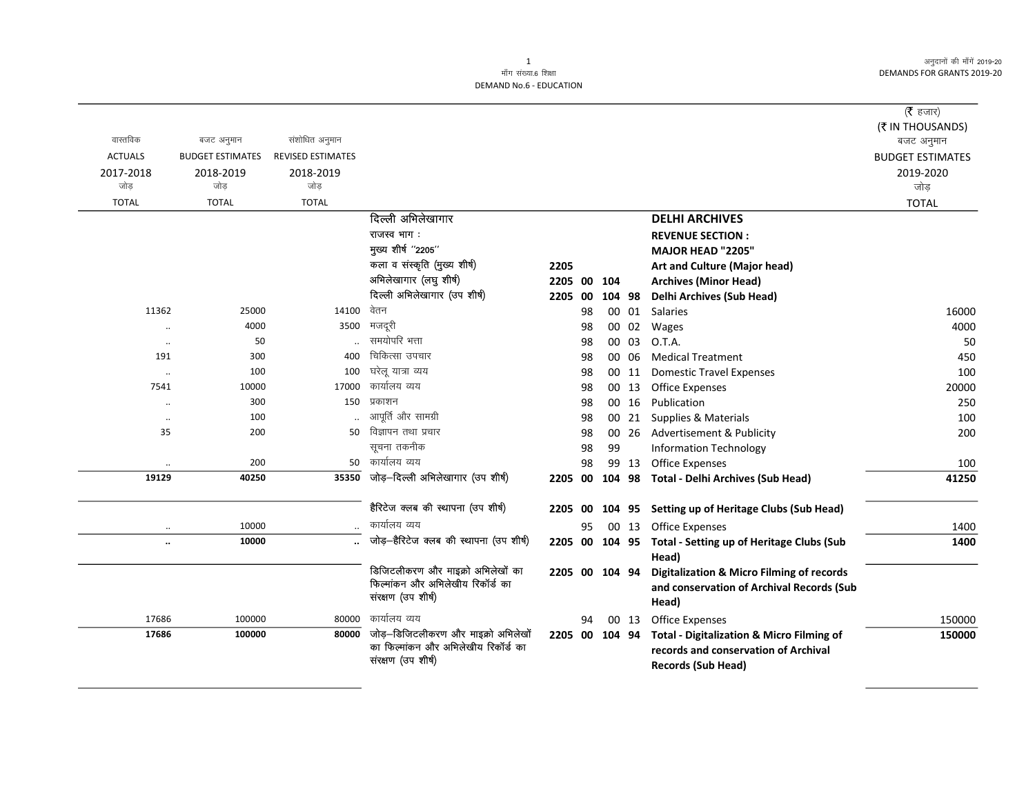अनुदानों की माँगें 2019-20 DEMANDS FOR GRANTS 2019-20

|                  |                      |                         |                          |                                                        |                |          |        |       |                                                      | ( $\bar{\tau}$ हजार)    |
|------------------|----------------------|-------------------------|--------------------------|--------------------------------------------------------|----------------|----------|--------|-------|------------------------------------------------------|-------------------------|
|                  |                      |                         |                          |                                                        |                |          |        |       |                                                      | (₹ IN THOUSANDS)        |
| वास्तविक         |                      | बजट अनुमान              | संशोधित अनुमान           |                                                        |                |          |        |       |                                                      | बजट अनुमान              |
| <b>ACTUALS</b>   |                      | <b>BUDGET ESTIMATES</b> | <b>REVISED ESTIMATES</b> |                                                        |                |          |        |       |                                                      | <b>BUDGET ESTIMATES</b> |
| 2017-2018<br>जोड |                      | 2018-2019<br>जोड        | 2018-2019<br>जोड         |                                                        |                |          |        |       |                                                      | 2019-2020<br>जोड़       |
| <b>TOTAL</b>     |                      | <b>TOTAL</b>            | <b>TOTAL</b>             |                                                        |                |          |        |       |                                                      |                         |
|                  |                      |                         |                          | दिल्ली अभिलेखागार                                      |                |          |        |       | <b>DELHI ARCHIVES</b>                                | <b>TOTAL</b>            |
|                  |                      |                         |                          | राजस्व भाग:                                            |                |          |        |       |                                                      |                         |
|                  |                      |                         |                          | मुख्य शीर्ष "2205"                                     |                |          |        |       | <b>REVENUE SECTION:</b>                              |                         |
|                  |                      |                         |                          | कला व संस्कृति (मुख्य शीर्ष)                           |                |          |        |       | MAJOR HEAD "2205"                                    |                         |
|                  |                      |                         |                          | अभिलेखागार (लघु शीर्ष)                                 | 2205           |          |        |       | Art and Culture (Major head)                         |                         |
|                  |                      |                         |                          | दिल्ली अभिलेखागार (उप शीर्ष)                           | 2205 00        |          | 104    |       | <b>Archives (Minor Head)</b>                         |                         |
|                  | 11362                | 25000                   | 14100                    | वेतन                                                   | 2205           | 00       | 104 98 | 00 01 | <b>Delhi Archives (Sub Head)</b>                     |                         |
|                  |                      | 4000                    | 3500                     | मजदूरी                                                 |                | 98       |        | 00 02 | Salaries                                             | 16000<br>4000           |
|                  | $\ddotsc$            | 50                      |                          | समयोपरि भत्ता                                          |                | 98<br>98 |        | 00 03 | Wages<br>O.T.A.                                      | 50                      |
|                  | $\ldots$<br>191      | 300                     | 400                      | चिकित्सा उपचार                                         |                | 98       |        | 00 06 | <b>Medical Treatment</b>                             | 450                     |
|                  |                      | 100                     | 100                      | घरेलू यात्रा व्यय                                      |                | 98       |        | 00 11 | <b>Domestic Travel Expenses</b>                      | 100                     |
|                  | $\ldots$<br>7541     | 10000                   | 17000                    | कार्यालय व्यय                                          |                | 98       |        | 00 13 | <b>Office Expenses</b>                               | 20000                   |
|                  | $\ddot{\phantom{0}}$ | 300                     | 150                      | प्रकाशन                                                |                | 98       |        | 00 16 | Publication                                          | 250                     |
|                  | $\cdot\cdot$         | 100                     |                          | आपूर्ति और सामग्री                                     |                | 98       |        | 00 21 | Supplies & Materials                                 | 100                     |
|                  | 35                   | 200                     | 50                       | विज्ञापन तथा प्रचार                                    |                | 98       |        | 00 26 | Advertisement & Publicity                            | 200                     |
|                  |                      |                         |                          | सूचना तकनीक                                            |                | 98       | 99     |       | <b>Information Technology</b>                        |                         |
|                  | $\ddot{\phantom{a}}$ | 200                     |                          | 50 कार्यालय व्यय                                       |                | 98       |        | 99 13 | <b>Office Expenses</b>                               | 100                     |
|                  | 19129                | 40250                   | 35350                    | जोड़-दिल्ली अभिलेखागार (उप शीर्ष)                      | 2205 00        |          | 104 98 |       | <b>Total - Delhi Archives (Sub Head)</b>             | 41250                   |
|                  |                      |                         |                          |                                                        |                |          |        |       |                                                      |                         |
|                  |                      |                         |                          | हैरिटेज क्लब की स्थापना (उप शीर्ष)                     | 2205 00        |          | 104 95 |       | <b>Setting up of Heritage Clubs (Sub Head)</b>       |                         |
|                  | $\ddot{\phantom{a}}$ | 10000                   |                          | कार्यालय व्यय                                          |                | 95       |        | 00 13 | <b>Office Expenses</b>                               | 1400                    |
|                  | $\ddot{\phantom{a}}$ | 10000                   | $\ddot{\phantom{a}}$     | जोड़—हैरिटेज क्लब की स्थापना (उप शीर्ष)                | 2205 00 104 95 |          |        |       | Total - Setting up of Heritage Clubs (Sub            | 1400                    |
|                  |                      |                         |                          |                                                        |                |          |        |       | Head)                                                |                         |
|                  |                      |                         |                          | डिजिटलीकरण और माइक्रो अभिलेखों का                      | 2205 00 104 94 |          |        |       | Digitalization & Micro Filming of records            |                         |
|                  |                      |                         |                          | फिल्मांकन और अभिलेखीय रिकॉर्ड का<br>संरक्षण (उप शीर्ष) |                |          |        |       | and conservation of Archival Records (Sub            |                         |
|                  | 17686                | 100000                  | 80000                    | कार्यालय व्यय                                          |                | 94       |        | 00 13 | Head)<br><b>Office Expenses</b>                      | 150000                  |
|                  | 17686                | 100000                  | 80000                    | जोड़—डिजिटलीकरण और माइक्रो अभिलेखों                    | 2205 00 104 94 |          |        |       | <b>Total - Digitalization &amp; Micro Filming of</b> | 150000                  |
|                  |                      |                         |                          | का फिल्मांकन और अभिलेखीय रिकॉर्ड का                    |                |          |        |       | records and conservation of Archival                 |                         |
|                  |                      |                         |                          | संरक्षण (उप शीर्ष)                                     |                |          |        |       | <b>Records (Sub Head)</b>                            |                         |